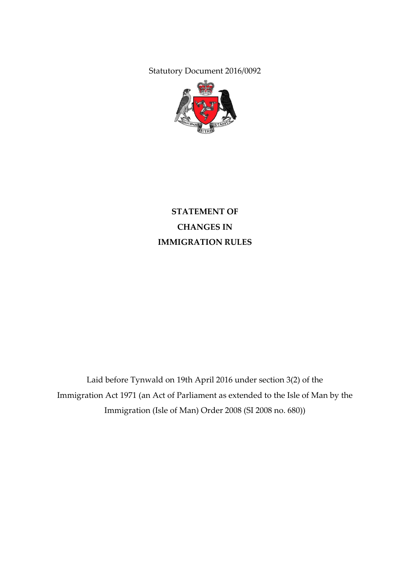Statutory Document 2016/0092



# **STATEMENT OF CHANGES IN IMMIGRATION RULES**

Laid before Tynwald on 19th April 2016 under section 3(2) of the Immigration Act 1971 (an Act of Parliament as extended to the Isle of Man by the Immigration (Isle of Man) Order 2008 (SI 2008 no. 680))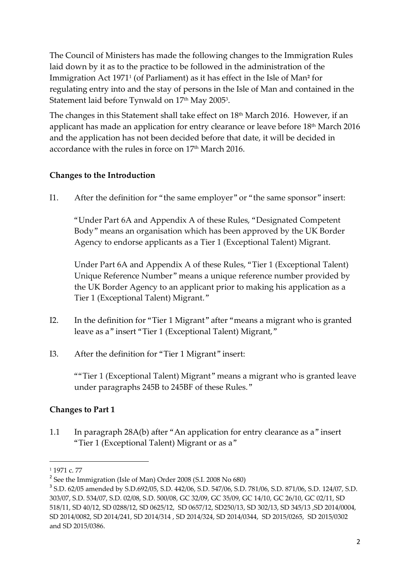The Council of Ministers has made the following changes to the Immigration Rules laid down by it as to the practice to be followed in the administration of the Immigration Act 1971<sup>1</sup> (of Parliament) as it has effect in the Isle of Man**<sup>2</sup>** for regulating entry into and the stay of persons in the Isle of Man and contained in the Statement laid before Tynwald on  $17^{\rm th}$  May 2005 $^{\rm 3}$ .

The changes in this Statement shall take effect on 18 th March 2016. However, if an applicant has made an application for entry clearance or leave before 18 th March 2016 and the application has not been decided before that date, it will be decided in accordance with the rules in force on 17 th March 2016.

# **Changes to the Introduction**

I1. After the definition for "the same employer" or "the same sponsor" insert:

"Under Part 6A and Appendix A of these Rules, "Designated Competent Body" means an organisation which has been approved by the UK Border Agency to endorse applicants as a Tier 1 (Exceptional Talent) Migrant.

Under Part 6A and Appendix A of these Rules, "Tier 1 (Exceptional Talent) Unique Reference Number" means a unique reference number provided by the UK Border Agency to an applicant prior to making his application as a Tier 1 (Exceptional Talent) Migrant."

- I2. In the definition for "Tier 1 Migrant" after "means a migrant who is granted leave as a" insert "Tier 1 (Exceptional Talent) Migrant,"
- I3. After the definition for "Tier 1 Migrant" insert:

""Tier 1 (Exceptional Talent) Migrant" means a migrant who is granted leave under paragraphs 245B to 245BF of these Rules."

# **Changes to Part 1**

1.1 In paragraph 28A(b) after "An application for entry clearance as a" insert "Tier 1 (Exceptional Talent) Migrant or as a"

 $\overline{\phantom{a}}$ 

<sup>&</sup>lt;sup>1</sup> 1971 c. 77

<sup>&</sup>lt;sup>2</sup> See the Immigration (Isle of Man) Order 2008 (S.I. 2008 No 680)

<sup>3</sup> S.D. 62/05 amended by S.D.692/05, S.D. 442/06, S.D. 547/06, S.D. 781/06, S.D. 871/06, S.D. 124/07, S.D. 303/07, S.D. 534/07, S.D. 02/08, S.D. 500/08, GC 32/09, GC 35/09, GC 14/10, GC 26/10, GC 02/11, SD 518/11, SD 40/12, SD 0288/12, SD 0625/12, SD 0657/12, SD250/13, SD 302/13, SD 345/13 ,SD 2014/0004, SD 2014/0082, SD 2014/241, SD 2014/314 , SD 2014/324, SD 2014/0344, SD 2015/0265, SD 2015/0302 and SD 2015/0386.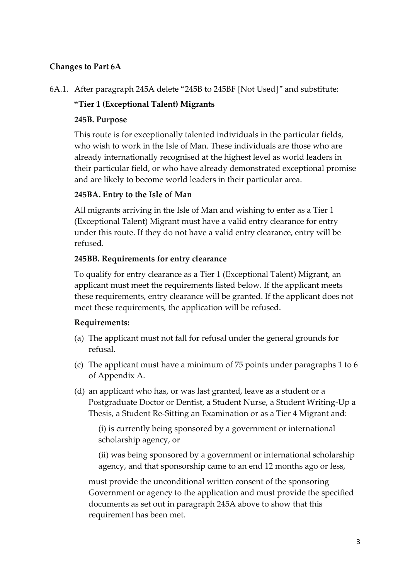# **Changes to Part 6A**

# **"Tier 1 (Exceptional Talent) Migrants**

#### **245B. Purpose**

This route is for exceptionally talented individuals in the particular fields, who wish to work in the Isle of Man. These individuals are those who are already internationally recognised at the highest level as world leaders in their particular field, or who have already demonstrated exceptional promise and are likely to become world leaders in their particular area.

#### **245BA. Entry to the Isle of Man**

All migrants arriving in the Isle of Man and wishing to enter as a Tier 1 (Exceptional Talent) Migrant must have a valid entry clearance for entry under this route. If they do not have a valid entry clearance, entry will be refused.

#### **245BB. Requirements for entry clearance**

To qualify for entry clearance as a Tier 1 (Exceptional Talent) Migrant, an applicant must meet the requirements listed below. If the applicant meets these requirements, entry clearance will be granted. If the applicant does not meet these requirements, the application will be refused.

### **Requirements:**

- (a) The applicant must not fall for refusal under the general grounds for refusal.
- (c) The applicant must have a minimum of 75 points under paragraphs 1 to 6 of Appendix A.
- (d) an applicant who has, or was last granted, leave as a student or a Postgraduate Doctor or Dentist, a Student Nurse, a Student Writing-Up a Thesis, a Student Re-Sitting an Examination or as a Tier 4 Migrant and:

(i) is currently being sponsored by a government or international scholarship agency, or

(ii) was being sponsored by a government or international scholarship agency, and that sponsorship came to an end 12 months ago or less,

must provide the unconditional written consent of the sponsoring Government or agency to the application and must provide the specified documents as set out in paragraph 245A above to show that this requirement has been met.

<sup>6</sup>A.1. After paragraph 245A delete "245B to 245BF [Not Used]" and substitute: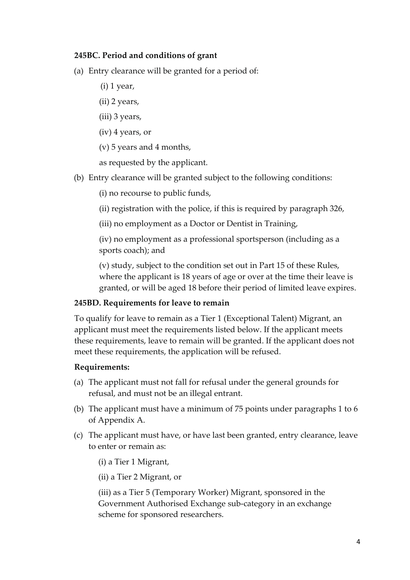#### **245BC. Period and conditions of grant**

- (a) Entry clearance will be granted for a period of:
	- (i) 1 year,
	- (ii) 2 years,
	- (iii) 3 years,
	- (iv) 4 years, or
	- (v) 5 years and 4 months,

as requested by the applicant.

- (b) Entry clearance will be granted subject to the following conditions:
	- (i) no recourse to public funds,
	- (ii) registration with the police, if this is required by paragraph 326,
	- (iii) no employment as a Doctor or Dentist in Training,

(iv) no employment as a professional sportsperson (including as a sports coach); and

(v) study, subject to the condition set out in Part 15 of these Rules, where the applicant is 18 years of age or over at the time their leave is granted, or will be aged 18 before their period of limited leave expires.

#### **245BD. Requirements for leave to remain**

To qualify for leave to remain as a Tier 1 (Exceptional Talent) Migrant, an applicant must meet the requirements listed below. If the applicant meets these requirements, leave to remain will be granted. If the applicant does not meet these requirements, the application will be refused.

#### **Requirements:**

- (a) The applicant must not fall for refusal under the general grounds for refusal, and must not be an illegal entrant.
- (b) The applicant must have a minimum of 75 points under paragraphs 1 to 6 of Appendix A.
- (c) The applicant must have, or have last been granted, entry clearance, leave to enter or remain as:
	- (i) a Tier 1 Migrant,
	- (ii) a Tier 2 Migrant, or

(iii) as a Tier 5 (Temporary Worker) Migrant, sponsored in the Government Authorised Exchange sub-category in an exchange scheme for sponsored researchers.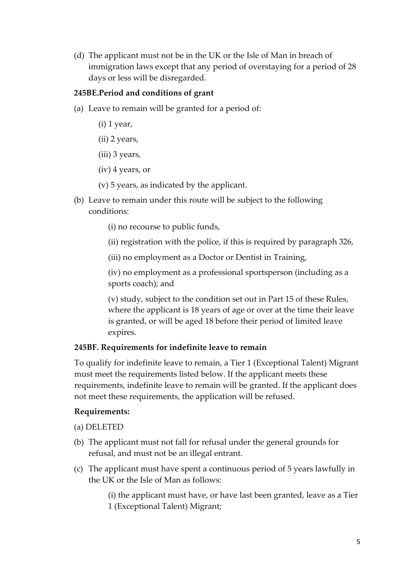(d) The applicant must not be in the UK or the Isle of Man in breach of immigration laws except that any period of overstaying for a period of 28 days or less will be disregarded.

#### **245BE.Period and conditions of grant**

- (a) Leave to remain will be granted for a period of:
	- (i) 1 year,
	- (ii) 2 years,
	- (iii) 3 years,
	- (iv) 4 years, or
	- (v) 5 years, as indicated by the applicant.
- (b) Leave to remain under this route will be subject to the following conditions:
	- (i) no recourse to public funds,
	- (ii) registration with the police, if this is required by paragraph 326,
	- (iii) no employment as a Doctor or Dentist in Training,

(iv) no employment as a professional sportsperson (including as a sports coach); and

(v) study, subject to the condition set out in Part 15 of these Rules, where the applicant is 18 years of age or over at the time their leave is granted, or will be aged 18 before their period of limited leave expires.

### **245BF. Requirements for indefinite leave to remain**

To qualify for indefinite leave to remain, a Tier 1 (Exceptional Talent) Migrant must meet the requirements listed below. If the applicant meets these requirements, indefinite leave to remain will be granted. If the applicant does not meet these requirements, the application will be refused.

#### **Requirements:**

- (a) DELETED
- (b) The applicant must not fall for refusal under the general grounds for refusal, and must not be an illegal entrant.
- (c) The applicant must have spent a continuous period of 5 years lawfully in the UK or the Isle of Man as follows:

(i) the applicant must have, or have last been granted, leave as a Tier 1 (Exceptional Talent) Migrant;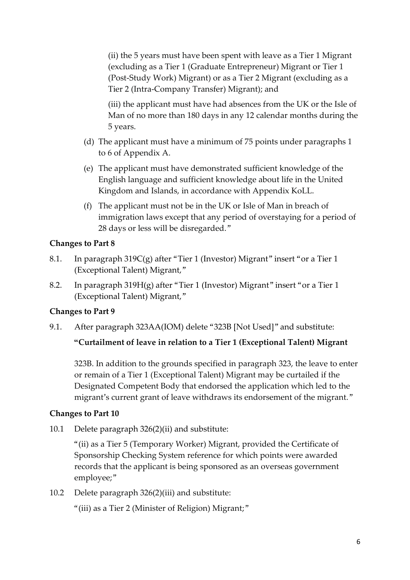(ii) the 5 years must have been spent with leave as a Tier 1 Migrant (excluding as a Tier 1 (Graduate Entrepreneur) Migrant or Tier 1 (Post-Study Work) Migrant) or as a Tier 2 Migrant (excluding as a Tier 2 (Intra-Company Transfer) Migrant); and

(iii) the applicant must have had absences from the UK or the Isle of Man of no more than 180 days in any 12 calendar months during the 5 years.

- (d) The applicant must have a minimum of 75 points under paragraphs 1 to 6 of Appendix A.
- (e) The applicant must have demonstrated sufficient knowledge of the English language and sufficient knowledge about life in the United Kingdom and Islands, in accordance with Appendix KoLL.
- (f) The applicant must not be in the UK or Isle of Man in breach of immigration laws except that any period of overstaying for a period of 28 days or less will be disregarded."

### **Changes to Part 8**

- 8.1. In paragraph 319C(g) after "Tier 1 (Investor) Migrant" insert "or a Tier 1 (Exceptional Talent) Migrant,"
- 8.2. In paragraph 319H(g) after "Tier 1 (Investor) Migrant" insert "or a Tier 1 (Exceptional Talent) Migrant,"

# **Changes to Part 9**

9.1. After paragraph 323AA(IOM) delete "323B [Not Used]" and substitute:

# **"Curtailment of leave in relation to a Tier 1 (Exceptional Talent) Migrant**

323B. In addition to the grounds specified in paragraph 323, the leave to enter or remain of a Tier 1 (Exceptional Talent) Migrant may be curtailed if the Designated Competent Body that endorsed the application which led to the migrant's current grant of leave withdraws its endorsement of the migrant."

### **Changes to Part 10**

10.1 Delete paragraph 326(2)(ii) and substitute:

"(ii) as a Tier 5 (Temporary Worker) Migrant, provided the Certificate of Sponsorship Checking System reference for which points were awarded records that the applicant is being sponsored as an overseas government employee;"

10.2 Delete paragraph 326(2)(iii) and substitute:

"(iii) as a Tier 2 (Minister of Religion) Migrant;"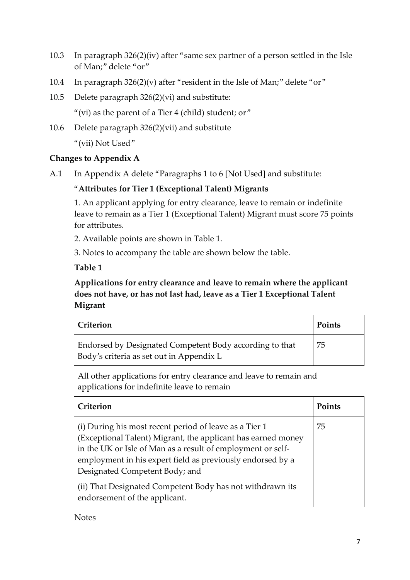- 10.3 In paragraph 326(2)(iv) after "same sex partner of a person settled in the Isle of Man;" delete "or"
- 10.4 In paragraph  $326(2)(v)$  after "resident in the Isle of Man;" delete "or"
- 10.5 Delete paragraph 326(2)(vi) and substitute:

"(vi) as the parent of a Tier 4 (child) student; or"

10.6 Delete paragraph 326(2)(vii) and substitute

"(vii) Not Used"

# **Changes to Appendix A**

A.1 In Appendix A delete "Paragraphs 1 to 6 [Not Used] and substitute:

# "**Attributes for Tier 1 (Exceptional Talent) Migrants**

1. An applicant applying for entry clearance, leave to remain or indefinite leave to remain as a Tier 1 (Exceptional Talent) Migrant must score 75 points for attributes.

2. Available points are shown in Table 1.

3. Notes to accompany the table are shown below the table.

**Table 1**

# **Applications for entry clearance and leave to remain where the applicant does not have, or has not last had, leave as a Tier 1 Exceptional Talent Migrant**

| Criterion                                                                                           | Points |
|-----------------------------------------------------------------------------------------------------|--------|
| Endorsed by Designated Competent Body according to that<br>Body's criteria as set out in Appendix L | 75     |

All other applications for entry clearance and leave to remain and applications for indefinite leave to remain

| Criterion                                                                                                                   | Points |
|-----------------------------------------------------------------------------------------------------------------------------|--------|
| (i) During his most recent period of leave as a Tier 1                                                                      | 75     |
| (Exceptional Talent) Migrant, the applicant has earned money<br>in the UK or Isle of Man as a result of employment or self- |        |
| employment in his expert field as previously endorsed by a                                                                  |        |
| Designated Competent Body; and                                                                                              |        |
| (ii) That Designated Competent Body has not withdrawn its<br>endorsement of the applicant.                                  |        |

**Notes**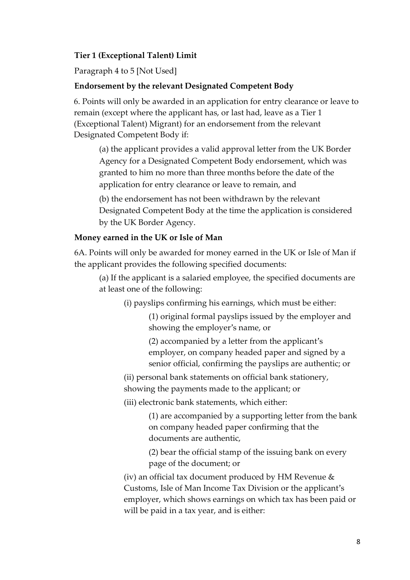#### **Tier 1 (Exceptional Talent) Limit**

Paragraph 4 to 5 [Not Used]

#### **Endorsement by the relevant Designated Competent Body**

6. Points will only be awarded in an application for entry clearance or leave to remain (except where the applicant has, or last had, leave as a Tier 1 (Exceptional Talent) Migrant) for an endorsement from the relevant Designated Competent Body if:

(a) the applicant provides a valid approval letter from the UK Border Agency for a Designated Competent Body endorsement, which was granted to him no more than three months before the date of the application for entry clearance or leave to remain, and

(b) the endorsement has not been withdrawn by the relevant Designated Competent Body at the time the application is considered by the UK Border Agency.

#### **Money earned in the UK or Isle of Man**

6A. Points will only be awarded for money earned in the UK or Isle of Man if the applicant provides the following specified documents:

(a) If the applicant is a salaried employee, the specified documents are at least one of the following:

(i) payslips confirming his earnings, which must be either:

(1) original formal payslips issued by the employer and showing the employer's name, or

(2) accompanied by a letter from the applicant's employer, on company headed paper and signed by a senior official, confirming the payslips are authentic; or

(ii) personal bank statements on official bank stationery, showing the payments made to the applicant; or

(iii) electronic bank statements, which either:

(1) are accompanied by a supporting letter from the bank on company headed paper confirming that the documents are authentic,

(2) bear the official stamp of the issuing bank on every page of the document; or

(iv) an official tax document produced by HM Revenue & Customs, Isle of Man Income Tax Division or the applicant's employer, which shows earnings on which tax has been paid or will be paid in a tax year, and is either: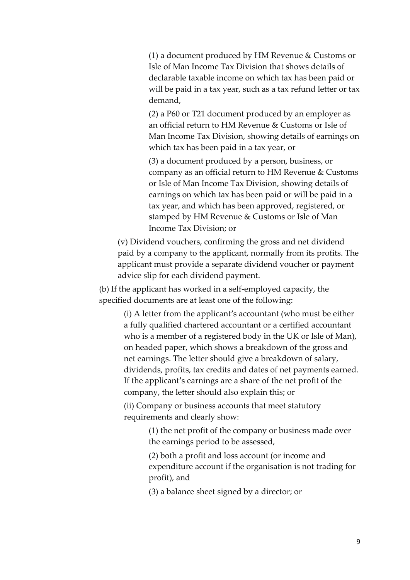(1) a document produced by HM Revenue & Customs or Isle of Man Income Tax Division that shows details of declarable taxable income on which tax has been paid or will be paid in a tax year, such as a tax refund letter or tax demand,

(2) a P60 or T21 document produced by an employer as an official return to HM Revenue & Customs or Isle of Man Income Tax Division, showing details of earnings on which tax has been paid in a tax year, or

(3) a document produced by a person, business, or company as an official return to HM Revenue & Customs or Isle of Man Income Tax Division, showing details of earnings on which tax has been paid or will be paid in a tax year, and which has been approved, registered, or stamped by HM Revenue & Customs or Isle of Man Income Tax Division; or

(v) Dividend vouchers, confirming the gross and net dividend paid by a company to the applicant, normally from its profits. The applicant must provide a separate dividend voucher or payment advice slip for each dividend payment.

(b) If the applicant has worked in a self-employed capacity, the specified documents are at least one of the following:

> (i) A letter from the applicant's accountant (who must be either a fully qualified chartered accountant or a certified accountant who is a member of a registered body in the UK or Isle of Man), on headed paper, which shows a breakdown of the gross and net earnings. The letter should give a breakdown of salary, dividends, profits, tax credits and dates of net payments earned. If the applicant's earnings are a share of the net profit of the company, the letter should also explain this; or

(ii) Company or business accounts that meet statutory requirements and clearly show:

> (1) the net profit of the company or business made over the earnings period to be assessed,

(2) both a profit and loss account (or income and expenditure account if the organisation is not trading for profit), and

(3) a balance sheet signed by a director; or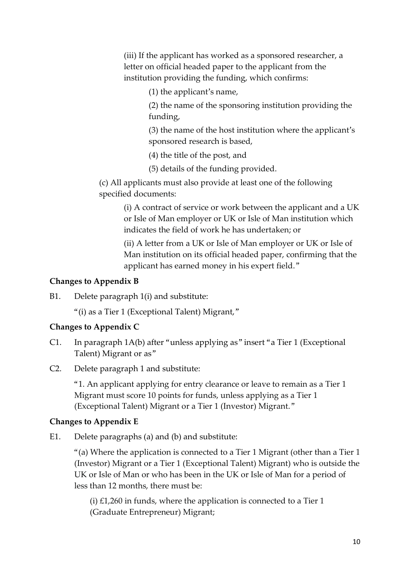(iii) If the applicant has worked as a sponsored researcher, a letter on official headed paper to the applicant from the institution providing the funding, which confirms:

(1) the applicant's name,

(2) the name of the sponsoring institution providing the funding,

(3) the name of the host institution where the applicant's sponsored research is based,

(4) the title of the post, and

(5) details of the funding provided.

(c) All applicants must also provide at least one of the following specified documents:

> (i) A contract of service or work between the applicant and a UK or Isle of Man employer or UK or Isle of Man institution which indicates the field of work he has undertaken; or

(ii) A letter from a UK or Isle of Man employer or UK or Isle of Man institution on its official headed paper, confirming that the applicant has earned money in his expert field."

# **Changes to Appendix B**

B1. Delete paragraph 1(i) and substitute:

"(i) as a Tier 1 (Exceptional Talent) Migrant,"

# **Changes to Appendix C**

- C1. In paragraph 1A(b) after "unless applying as" insert "a Tier 1 (Exceptional Talent) Migrant or as"
- C2. Delete paragraph 1 and substitute:

"1. An applicant applying for entry clearance or leave to remain as a Tier 1 Migrant must score 10 points for funds, unless applying as a Tier 1 (Exceptional Talent) Migrant or a Tier 1 (Investor) Migrant."

# **Changes to Appendix E**

E1. Delete paragraphs (a) and (b) and substitute:

"(a) Where the application is connected to a Tier 1 Migrant (other than a Tier 1 (Investor) Migrant or a Tier 1 (Exceptional Talent) Migrant) who is outside the UK or Isle of Man or who has been in the UK or Isle of Man for a period of less than 12 months, there must be:

(i)  $£1,260$  in funds, where the application is connected to a Tier 1 (Graduate Entrepreneur) Migrant;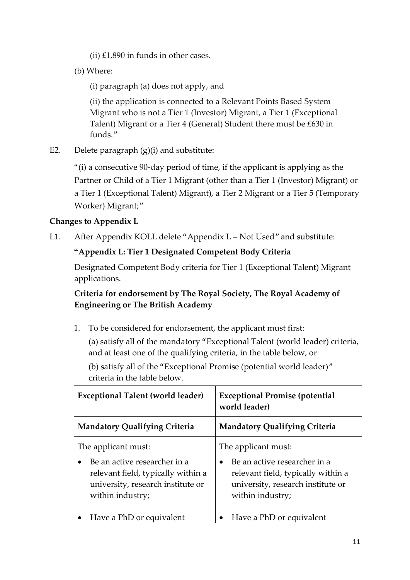- (ii)  $£1,890$  in funds in other cases.
- (b) Where:

(i) paragraph (a) does not apply, and

(ii) the application is connected to a Relevant Points Based System Migrant who is not a Tier 1 (Investor) Migrant, a Tier 1 (Exceptional Talent) Migrant or a Tier 4 (General) Student there must be £630 in funds."

E2. Delete paragraph (g)(i) and substitute:

"(i) a consecutive 90-day period of time, if the applicant is applying as the Partner or Child of a Tier 1 Migrant (other than a Tier 1 (Investor) Migrant) or a Tier 1 (Exceptional Talent) Migrant), a Tier 2 Migrant or a Tier 5 (Temporary Worker) Migrant;"

# **Changes to Appendix L**

L1. After Appendix KOLL delete "Appendix L – Not Used" and substitute:

# **"Appendix L: Tier 1 Designated Competent Body Criteria**

Designated Competent Body criteria for Tier 1 (Exceptional Talent) Migrant applications.

# **Criteria for endorsement by The Royal Society, The Royal Academy of Engineering or The British Academy**

1. To be considered for endorsement, the applicant must first:

(a) satisfy all of the mandatory "Exceptional Talent (world leader) criteria, and at least one of the qualifying criteria, in the table below, or

(b) satisfy all of the "Exceptional Promise (potential world leader)" criteria in the table below.

| <b>Exceptional Talent (world leader)</b>                                                                                                           | <b>Exceptional Promise (potential</b><br>world leader)                                                                                             |
|----------------------------------------------------------------------------------------------------------------------------------------------------|----------------------------------------------------------------------------------------------------------------------------------------------------|
| <b>Mandatory Qualifying Criteria</b>                                                                                                               | <b>Mandatory Qualifying Criteria</b>                                                                                                               |
| The applicant must:<br>Be an active researcher in a<br>relevant field, typically within a<br>university, research institute or<br>within industry; | The applicant must:<br>Be an active researcher in a<br>relevant field, typically within a<br>university, research institute or<br>within industry; |
| Have a PhD or equivalent                                                                                                                           | Have a PhD or equivalent                                                                                                                           |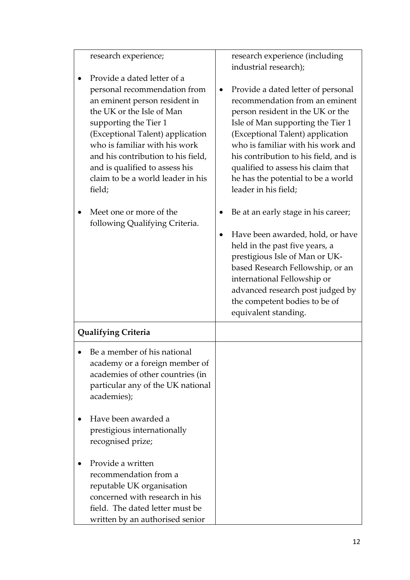| research experience;                                                                                                                                                                                                                                                                                                                                                                                        |           | research experience (including<br>industrial research);                                                                                                                                                                                                                                                                                                                                                                                        |
|-------------------------------------------------------------------------------------------------------------------------------------------------------------------------------------------------------------------------------------------------------------------------------------------------------------------------------------------------------------------------------------------------------------|-----------|------------------------------------------------------------------------------------------------------------------------------------------------------------------------------------------------------------------------------------------------------------------------------------------------------------------------------------------------------------------------------------------------------------------------------------------------|
| Provide a dated letter of a<br>personal recommendation from<br>an eminent person resident in<br>the UK or the Isle of Man<br>supporting the Tier 1<br>(Exceptional Talent) application<br>who is familiar with his work<br>and his contribution to his field,<br>and is qualified to assess his<br>claim to be a world leader in his<br>field;<br>Meet one or more of the<br>following Qualifying Criteria. | $\bullet$ | Provide a dated letter of personal<br>recommendation from an eminent<br>person resident in the UK or the<br>Isle of Man supporting the Tier 1<br>(Exceptional Talent) application<br>who is familiar with his work and<br>his contribution to his field, and is<br>qualified to assess his claim that<br>he has the potential to be a world<br>leader in his field;<br>Be at an early stage in his career;<br>Have been awarded, hold, or have |
|                                                                                                                                                                                                                                                                                                                                                                                                             |           | held in the past five years, a<br>prestigious Isle of Man or UK-<br>based Research Fellowship, or an<br>international Fellowship or<br>advanced research post judged by<br>the competent bodies to be of<br>equivalent standing.                                                                                                                                                                                                               |
| <b>Qualifying Criteria</b>                                                                                                                                                                                                                                                                                                                                                                                  |           |                                                                                                                                                                                                                                                                                                                                                                                                                                                |
| Be a member of his national<br>academy or a foreign member of<br>academies of other countries (in<br>particular any of the UK national<br>academies);                                                                                                                                                                                                                                                       |           |                                                                                                                                                                                                                                                                                                                                                                                                                                                |
| Have been awarded a<br>prestigious internationally<br>recognised prize;                                                                                                                                                                                                                                                                                                                                     |           |                                                                                                                                                                                                                                                                                                                                                                                                                                                |
| Provide a written<br>recommendation from a<br>reputable UK organisation<br>concerned with research in his<br>field. The dated letter must be<br>written by an authorised senior                                                                                                                                                                                                                             |           |                                                                                                                                                                                                                                                                                                                                                                                                                                                |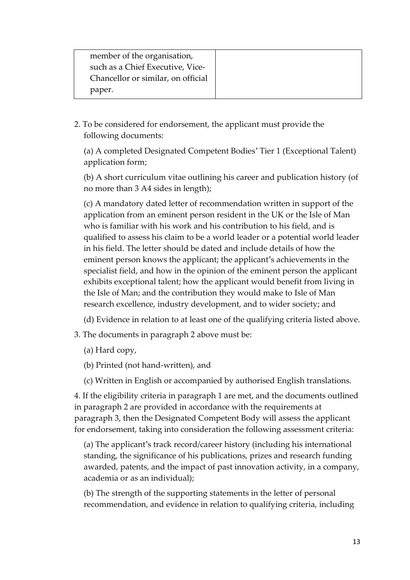| member of the organisation,        |  |
|------------------------------------|--|
| such as a Chief Executive, Vice-   |  |
| Chancellor or similar, on official |  |
| paper.                             |  |

2. To be considered for endorsement, the applicant must provide the following documents:

(a) A completed Designated Competent Bodies' Tier 1 (Exceptional Talent) application form;

(b) A short curriculum vitae outlining his career and publication history (of no more than 3 A4 sides in length);

(c) A mandatory dated letter of recommendation written in support of the application from an eminent person resident in the UK or the Isle of Man who is familiar with his work and his contribution to his field, and is qualified to assess his claim to be a world leader or a potential world leader in his field. The letter should be dated and include details of how the eminent person knows the applicant; the applicant's achievements in the specialist field, and how in the opinion of the eminent person the applicant exhibits exceptional talent; how the applicant would benefit from living in the Isle of Man; and the contribution they would make to Isle of Man research excellence, industry development, and to wider society; and

(d) Evidence in relation to at least one of the qualifying criteria listed above.

- 3. The documents in paragraph 2 above must be:
	- (a) Hard copy,

(b) Printed (not hand-written), and

(c) Written in English or accompanied by authorised English translations.

4. If the eligibility criteria in paragraph 1 are met, and the documents outlined in paragraph 2 are provided in accordance with the requirements at paragraph 3, then the Designated Competent Body will assess the applicant for endorsement, taking into consideration the following assessment criteria:

(a) The applicant's track record/career history (including his international standing, the significance of his publications, prizes and research funding awarded, patents, and the impact of past innovation activity, in a company, academia or as an individual);

(b) The strength of the supporting statements in the letter of personal recommendation, and evidence in relation to qualifying criteria, including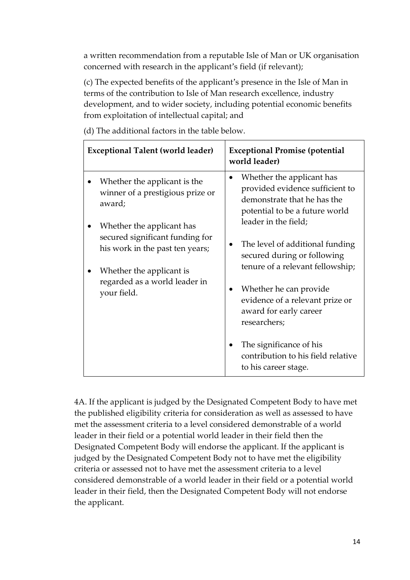a written recommendation from a reputable Isle of Man or UK organisation concerned with research in the applicant's field (if relevant);

(c) The expected benefits of the applicant's presence in the Isle of Man in terms of the contribution to Isle of Man research excellence, industry development, and to wider society, including potential economic benefits from exploitation of intellectual capital; and

| <b>Exceptional Talent (world leader)</b>                                                                                                                                    | <b>Exceptional Promise (potential</b><br>world leader)                                                                                                                                                                 |
|-----------------------------------------------------------------------------------------------------------------------------------------------------------------------------|------------------------------------------------------------------------------------------------------------------------------------------------------------------------------------------------------------------------|
| Whether the applicant is the<br>winner of a prestigious prize or<br>award;                                                                                                  | Whether the applicant has<br>$\bullet$<br>provided evidence sufficient to<br>demonstrate that he has the<br>potential to be a future world<br>leader in the field;                                                     |
| Whether the applicant has<br>secured significant funding for<br>his work in the past ten years;<br>Whether the applicant is<br>regarded as a world leader in<br>your field. | The level of additional funding<br>secured during or following<br>tenure of a relevant fellowship;<br>Whether he can provide<br>$\bullet$<br>evidence of a relevant prize or<br>award for early career<br>researchers; |
|                                                                                                                                                                             | The significance of his<br>contribution to his field relative<br>to his career stage.                                                                                                                                  |

(d) The additional factors in the table below.

4A. If the applicant is judged by the Designated Competent Body to have met the published eligibility criteria for consideration as well as assessed to have met the assessment criteria to a level considered demonstrable of a world leader in their field or a potential world leader in their field then the Designated Competent Body will endorse the applicant. If the applicant is judged by the Designated Competent Body not to have met the eligibility criteria or assessed not to have met the assessment criteria to a level considered demonstrable of a world leader in their field or a potential world leader in their field, then the Designated Competent Body will not endorse the applicant.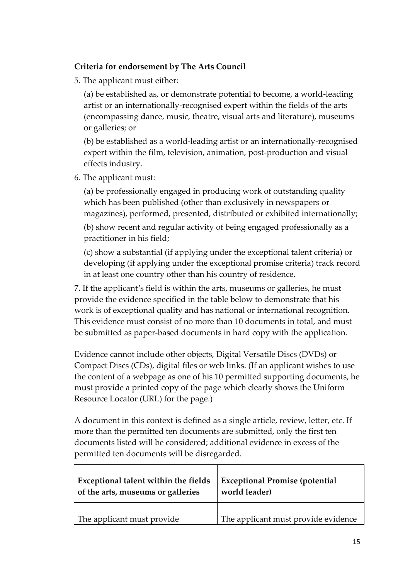# **Criteria for endorsement by The Arts Council**

5. The applicant must either:

(a) be established as, or demonstrate potential to become, a world-leading artist or an internationally-recognised expert within the fields of the arts (encompassing dance, music, theatre, visual arts and literature), museums or galleries; or

(b) be established as a world-leading artist or an internationally-recognised expert within the film, television, animation, post-production and visual effects industry.

6. The applicant must:

(a) be professionally engaged in producing work of outstanding quality which has been published (other than exclusively in newspapers or magazines), performed, presented, distributed or exhibited internationally;

(b) show recent and regular activity of being engaged professionally as a practitioner in his field;

(c) show a substantial (if applying under the exceptional talent criteria) or developing (if applying under the exceptional promise criteria) track record in at least one country other than his country of residence.

7. If the applicant's field is within the arts, museums or galleries, he must provide the evidence specified in the table below to demonstrate that his work is of exceptional quality and has national or international recognition. This evidence must consist of no more than 10 documents in total, and must be submitted as paper-based documents in hard copy with the application.

Evidence cannot include other objects, Digital Versatile Discs (DVDs) or Compact Discs (CDs), digital files or web links. (If an applicant wishes to use the content of a webpage as one of his 10 permitted supporting documents, he must provide a printed copy of the page which clearly shows the Uniform Resource Locator (URL) for the page.)

A document in this context is defined as a single article, review, letter, etc. If more than the permitted ten documents are submitted, only the first ten documents listed will be considered; additional evidence in excess of the permitted ten documents will be disregarded.

| Exceptional talent within the fields | <b>Exceptional Promise (potential</b> |
|--------------------------------------|---------------------------------------|
| of the arts, museums or galleries    | world leader)                         |
| The applicant must provide           | The applicant must provide evidence   |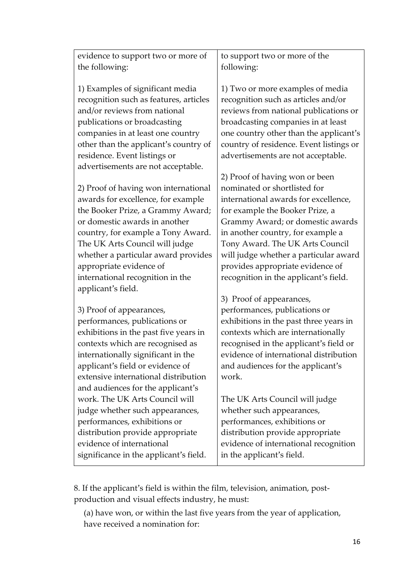| the following:                                                                                                                                                                                                                                                                                 | following:                                                                                                                                                                                                                                                                        |
|------------------------------------------------------------------------------------------------------------------------------------------------------------------------------------------------------------------------------------------------------------------------------------------------|-----------------------------------------------------------------------------------------------------------------------------------------------------------------------------------------------------------------------------------------------------------------------------------|
| 1) Examples of significant media<br>recognition such as features, articles<br>and/or reviews from national<br>publications or broadcasting<br>companies in at least one country<br>other than the applicant's country of<br>residence. Event listings or<br>advertisements are not acceptable. | 1) Two or more examples of media<br>recognition such as articles and/or<br>reviews from national publications or<br>broadcasting companies in at least<br>one country other than the applicant's<br>country of residence. Event listings or<br>advertisements are not acceptable. |
| 2) Proof of having won international                                                                                                                                                                                                                                                           | 2) Proof of having won or been                                                                                                                                                                                                                                                    |
| awards for excellence, for example                                                                                                                                                                                                                                                             | nominated or shortlisted for                                                                                                                                                                                                                                                      |
| the Booker Prize, a Grammy Award;                                                                                                                                                                                                                                                              | international awards for excellence,                                                                                                                                                                                                                                              |
| or domestic awards in another                                                                                                                                                                                                                                                                  | for example the Booker Prize, a                                                                                                                                                                                                                                                   |
| country, for example a Tony Award.                                                                                                                                                                                                                                                             | Grammy Award; or domestic awards                                                                                                                                                                                                                                                  |
| The UK Arts Council will judge                                                                                                                                                                                                                                                                 | in another country, for example a                                                                                                                                                                                                                                                 |
| whether a particular award provides                                                                                                                                                                                                                                                            | Tony Award. The UK Arts Council                                                                                                                                                                                                                                                   |
| appropriate evidence of                                                                                                                                                                                                                                                                        | will judge whether a particular award                                                                                                                                                                                                                                             |
| international recognition in the                                                                                                                                                                                                                                                               | provides appropriate evidence of                                                                                                                                                                                                                                                  |
| applicant's field.                                                                                                                                                                                                                                                                             | recognition in the applicant's field.                                                                                                                                                                                                                                             |
| 3) Proof of appearances,                                                                                                                                                                                                                                                                       | 3) Proof of appearances,                                                                                                                                                                                                                                                          |
| performances, publications or                                                                                                                                                                                                                                                                  | performances, publications or                                                                                                                                                                                                                                                     |
| exhibitions in the past five years in                                                                                                                                                                                                                                                          | exhibitions in the past three years in                                                                                                                                                                                                                                            |
| contexts which are recognised as                                                                                                                                                                                                                                                               | contexts which are internationally                                                                                                                                                                                                                                                |
| internationally significant in the                                                                                                                                                                                                                                                             | recognised in the applicant's field or                                                                                                                                                                                                                                            |
| applicant's field or evidence of                                                                                                                                                                                                                                                               | evidence of international distribution                                                                                                                                                                                                                                            |
| extensive international distribution                                                                                                                                                                                                                                                           | and audiences for the applicant's                                                                                                                                                                                                                                                 |
| and audiences for the applicant's                                                                                                                                                                                                                                                              | work.                                                                                                                                                                                                                                                                             |
| work. The UK Arts Council will                                                                                                                                                                                                                                                                 | The UK Arts Council will judge                                                                                                                                                                                                                                                    |
| judge whether such appearances,                                                                                                                                                                                                                                                                | whether such appearances,                                                                                                                                                                                                                                                         |
| performances, exhibitions or                                                                                                                                                                                                                                                                   | performances, exhibitions or                                                                                                                                                                                                                                                      |
| distribution provide appropriate                                                                                                                                                                                                                                                               | distribution provide appropriate                                                                                                                                                                                                                                                  |
| evidence of international                                                                                                                                                                                                                                                                      | evidence of international recognition                                                                                                                                                                                                                                             |
| significance in the applicant's field.                                                                                                                                                                                                                                                         | in the applicant's field.                                                                                                                                                                                                                                                         |

to support two or more of the

evidence to support two or more of

8. If the applicant's field is within the film, television, animation, postproduction and visual effects industry, he must:

(a) have won, or within the last five years from the year of application, have received a nomination for: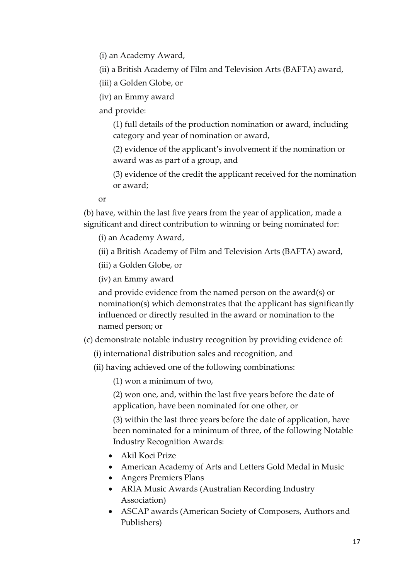(i) an Academy Award,

(ii) a British Academy of Film and Television Arts (BAFTA) award,

(iii) a Golden Globe, or

(iv) an Emmy award

and provide:

(1) full details of the production nomination or award, including category and year of nomination or award,

(2) evidence of the applicant's involvement if the nomination or award was as part of a group, and

(3) evidence of the credit the applicant received for the nomination or award;

or

(b) have, within the last five years from the year of application, made a significant and direct contribution to winning or being nominated for:

(i) an Academy Award,

(ii) a British Academy of Film and Television Arts (BAFTA) award,

(iii) a Golden Globe, or

(iv) an Emmy award

and provide evidence from the named person on the award(s) or nomination(s) which demonstrates that the applicant has significantly influenced or directly resulted in the award or nomination to the named person; or

(c) demonstrate notable industry recognition by providing evidence of:

(i) international distribution sales and recognition, and

(ii) having achieved one of the following combinations:

(1) won a minimum of two,

(2) won one, and, within the last five years before the date of application, have been nominated for one other, or

(3) within the last three years before the date of application, have been nominated for a minimum of three, of the following Notable Industry Recognition Awards:

- Akil Koci Prize
- American Academy of Arts and Letters Gold Medal in Music
- Angers Premiers Plans
- ARIA Music Awards (Australian Recording Industry Association)
- ASCAP awards (American Society of Composers, Authors and Publishers)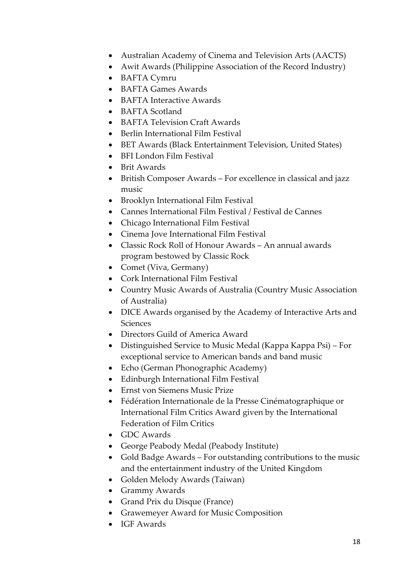- Australian Academy of Cinema and Television Arts (AACTS)
- Awit Awards (Philippine Association of the Record Industry)
- BAFTA Cymru
- BAFTA Games Awards
- BAFTA Interactive Awards
- BAFTA Scotland
- BAFTA Television Craft Awards
- Berlin International Film Festival
- BET Awards (Black Entertainment Television, United States)
- BFI London Film Festival
- Brit Awards
- British Composer Awards For excellence in classical and jazz music
- Brooklyn International Film Festival
- Cannes International Film Festival / Festival de Cannes
- Chicago International Film Festival
- Cinema Jove International Film Festival
- Classic Rock Roll of Honour Awards An annual awards program bestowed by Classic Rock
- Comet (Viva, Germany)
- Cork International Film Festival
- Country Music Awards of Australia (Country Music Association of Australia)
- DICE Awards organised by the Academy of Interactive Arts and **Sciences**
- Directors Guild of America Award
- Distinguished Service to Music Medal (Kappa Kappa Psi) For exceptional service to American bands and band music
- Echo (German Phonographic Academy)
- Edinburgh International Film Festival
- Ernst von Siemens Music Prize
- Fédération Internationale de la Presse Cinématographique or International Film Critics Award given by the International Federation of Film Critics
- GDC Awards
- George Peabody Medal (Peabody Institute)
- Gold Badge Awards For outstanding contributions to the music and the entertainment industry of the United Kingdom
- Golden Melody Awards (Taiwan)
- Grammy Awards
- Grand Prix du Disque (France)
- Grawemeyer Award for Music Composition
- IGF Awards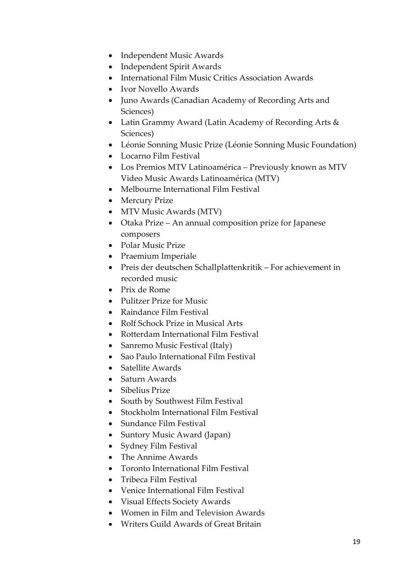- Independent Music Awards
- Independent Spirit Awards
- International Film Music Critics Association Awards
- Ivor Novello Awards
- Juno Awards (Canadian Academy of Recording Arts and Sciences)
- Latin Grammy Award (Latin Academy of Recording Arts & Sciences)
- Léonie Sonning Music Prize (Léonie Sonning Music Foundation)
- Locarno Film Festival
- Los Premios MTV Latinoamérica Previously known as MTV Video Music Awards Latinoamérica (MTV)
- Melbourne International Film Festival
- Mercury Prize
- MTV Music Awards (MTV)
- Otaka Prize An annual composition prize for Japanese composers
- Polar Music Prize
- Praemium Imperiale
- Preis der deutschen Schallplattenkritik For achievement in recorded music
- Prix de Rome
- Pulitzer Prize for Music
- Raindance Film Festival
- Rolf Schock Prize in Musical Arts
- Rotterdam International Film Festival
- Sanremo Music Festival (Italy)
- Sao Paulo International Film Festival
- Satellite Awards
- Saturn Awards
- Sibelius Prize
- South by Southwest Film Festival
- Stockholm International Film Festival
- Sundance Film Festival
- Suntory Music Award (Japan)
- Sydney Film Festival
- The Annime Awards
- Toronto International Film Festival
- Tribeca Film Festival
- Venice International Film Festival
- Visual Effects Society Awards
- Women in Film and Television Awards
- Writers Guild Awards of Great Britain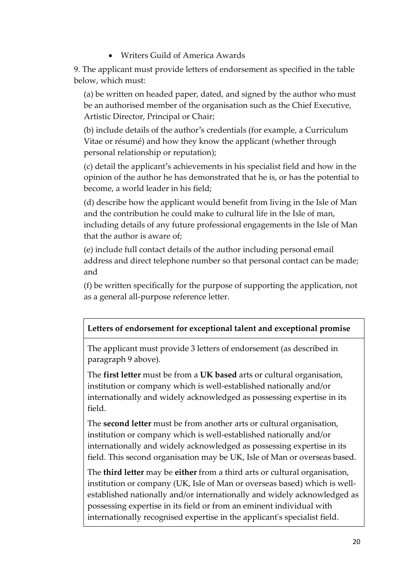Writers Guild of America Awards

9. The applicant must provide letters of endorsement as specified in the table below, which must:

(a) be written on headed paper, dated, and signed by the author who must be an authorised member of the organisation such as the Chief Executive, Artistic Director, Principal or Chair;

(b) include details of the author's credentials (for example, a Curriculum Vitae or résumé) and how they know the applicant (whether through personal relationship or reputation);

(c) detail the applicant's achievements in his specialist field and how in the opinion of the author he has demonstrated that he is, or has the potential to become, a world leader in his field;

(d) describe how the applicant would benefit from living in the Isle of Man and the contribution he could make to cultural life in the Isle of man, including details of any future professional engagements in the Isle of Man that the author is aware of;

(e) include full contact details of the author including personal email address and direct telephone number so that personal contact can be made; and

(f) be written specifically for the purpose of supporting the application, not as a general all-purpose reference letter.

# **Letters of endorsement for exceptional talent and exceptional promise**

The applicant must provide 3 letters of endorsement (as described in paragraph 9 above).

The **first letter** must be from a **UK based** arts or cultural organisation, institution or company which is well-established nationally and/or internationally and widely acknowledged as possessing expertise in its field.

The **second letter** must be from another arts or cultural organisation, institution or company which is well-established nationally and/or internationally and widely acknowledged as possessing expertise in its field. This second organisation may be UK, Isle of Man or overseas based.

The **third letter** may be **either** from a third arts or cultural organisation, institution or company (UK, Isle of Man or overseas based) which is wellestablished nationally and/or internationally and widely acknowledged as possessing expertise in its field or from an eminent individual with internationally recognised expertise in the applicant's specialist field.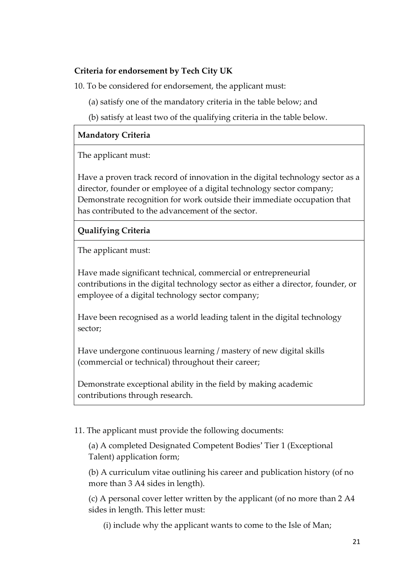# **Criteria for endorsement by Tech City UK**

10. To be considered for endorsement, the applicant must:

- (a) satisfy one of the mandatory criteria in the table below; and
- (b) satisfy at least two of the qualifying criteria in the table below.

# **Mandatory Criteria**

The applicant must:

Have a proven track record of innovation in the digital technology sector as a director, founder or employee of a digital technology sector company; Demonstrate recognition for work outside their immediate occupation that has contributed to the advancement of the sector.

# **Qualifying Criteria**

The applicant must:

Have made significant technical, commercial or entrepreneurial contributions in the digital technology sector as either a director, founder, or employee of a digital technology sector company;

Have been recognised as a world leading talent in the digital technology sector;

Have undergone continuous learning / mastery of new digital skills (commercial or technical) throughout their career;

Demonstrate exceptional ability in the field by making academic contributions through research.

### 11. The applicant must provide the following documents:

(a) A completed Designated Competent Bodies' Tier 1 (Exceptional Talent) application form;

(b) A curriculum vitae outlining his career and publication history (of no more than 3 A4 sides in length).

(c) A personal cover letter written by the applicant (of no more than 2 A4 sides in length. This letter must:

(i) include why the applicant wants to come to the Isle of Man;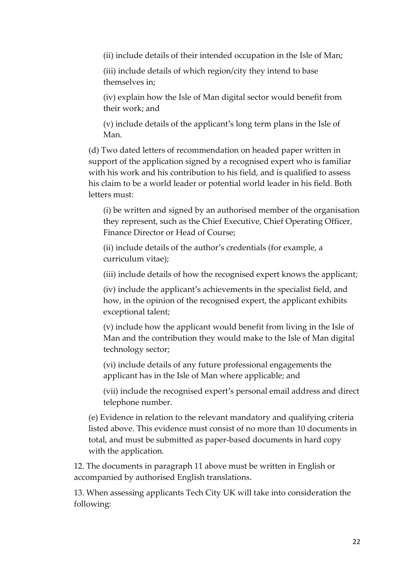(ii) include details of their intended occupation in the Isle of Man;

(iii) include details of which region/city they intend to base themselves in;

(iv) explain how the Isle of Man digital sector would benefit from their work; and

(v) include details of the applicant's long term plans in the Isle of Man.

(d) Two dated letters of recommendation on headed paper written in support of the application signed by a recognised expert who is familiar with his work and his contribution to his field, and is qualified to assess his claim to be a world leader or potential world leader in his field. Both letters must:

(i) be written and signed by an authorised member of the organisation they represent, such as the Chief Executive, Chief Operating Officer, Finance Director or Head of Course;

(ii) include details of the author's credentials (for example, a curriculum vitae);

(iii) include details of how the recognised expert knows the applicant;

(iv) include the applicant's achievements in the specialist field, and how, in the opinion of the recognised expert, the applicant exhibits exceptional talent;

(v) include how the applicant would benefit from living in the Isle of Man and the contribution they would make to the Isle of Man digital technology sector;

(vi) include details of any future professional engagements the applicant has in the Isle of Man where applicable; and

(vii) include the recognised expert's personal email address and direct telephone number.

(e) Evidence in relation to the relevant mandatory and qualifying criteria listed above. This evidence must consist of no more than 10 documents in total, and must be submitted as paper-based documents in hard copy with the application.

12. The documents in paragraph 11 above must be written in English or accompanied by authorised English translations.

13. When assessing applicants Tech City UK will take into consideration the following: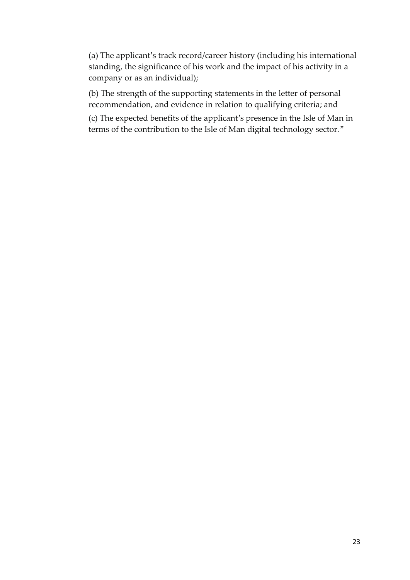(a) The applicant's track record/career history (including his international standing, the significance of his work and the impact of his activity in a company or as an individual);

(b) The strength of the supporting statements in the letter of personal recommendation, and evidence in relation to qualifying criteria; and

(c) The expected benefits of the applicant's presence in the Isle of Man in terms of the contribution to the Isle of Man digital technology sector."